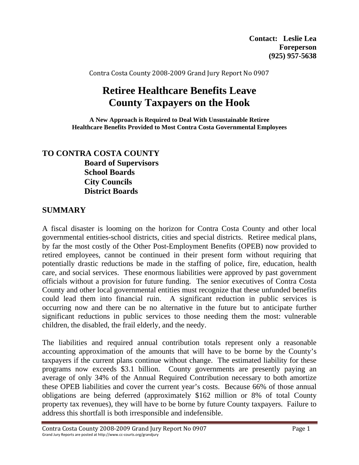Contra Costa County 2008‐2009 Grand Jury Report No 0907

# **Retiree Healthcare Benefits Leave County Taxpayers on the Hook**

**A New Approach is Required to Deal With Unsustainable Retiree Healthcare Benefits Provided to Most Contra Costa Governmental Employees**

### **TO CONTRA COSTA COUNTY Board of Supervisors School Boards City Councils District Boards**

### **SUMMARY**

A fiscal disaster is looming on the horizon for Contra Costa County and other local governmental entities-school districts, cities and special districts. Retiree medical plans, by far the most costly of the Other Post-Employment Benefits (OPEB) now provided to retired employees, cannot be continued in their present form without requiring that potentially drastic reductions be made in the staffing of police, fire, education, health care, and social services. These enormous liabilities were approved by past government officials without a provision for future funding. The senior executives of Contra Costa County and other local governmental entities must recognize that these unfunded benefits could lead them into financial ruin. A significant reduction in public services is occurring now and there can be no alternative in the future but to anticipate further significant reductions in public services to those needing them the most: vulnerable children, the disabled, the frail elderly, and the needy.

The liabilities and required annual contribution totals represent only a reasonable accounting approximation of the amounts that will have to be borne by the County's taxpayers if the current plans continue without change. The estimated liability for these programs now exceeds \$3.1 billion. County governments are presently paying an average of only 34% of the Annual Required Contribution necessary to both amortize these OPEB liabilities and cover the current year's costs. Because 66% of those annual obligations are being deferred (approximately \$162 million or 8% of total County property tax revenues), they will have to be borne by future County taxpayers. Failure to address this shortfall is both irresponsible and indefensible.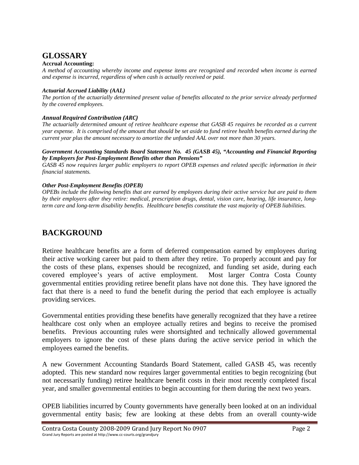# **GLOSSARY**

#### **Accrual Accounting:**

*A method of accounting whereby income and expense items are recognized and recorded when income is earned and expense is incurred, regardless of when cash is actually received or paid.* 

#### *Actuarial Accrued Liability (AAL)*

*The portion of the actuarially determined present value of benefits allocated to the prior service already performed by the covered employees.* 

#### *Annual Required Contribution (ARC)*

*The actuarially determined amount of retiree healthcare expense that GASB 45 requires be recorded as a current year expense. It is comprised of the amount that should be set aside to fund retiree health benefits earned during the current year plus the amount necessary to amortize the unfunded AAL over not more than 30 years.* 

#### *Government Accounting Standards Board Statement No. 45 (GASB 45), "Accounting and Financial Reporting by Employers for Post-Employment Benefits other than Pensions"*

*GASB 45 now requires larger public employers to report OPEB expenses and related specific information in their financial statements.* 

#### *Other Post-Employment Benefits (OPEB)*

*OPEBs include the following benefits that are earned by employees during their active service but are paid to them by their employers after they retire: medical, prescription drugs, dental, vision care, hearing, life insurance, longterm care and long-term disability benefits. Healthcare benefits constitute the vast majority of OPEB liabilities.* 

### **BACKGROUND**

Retiree healthcare benefits are a form of deferred compensation earned by employees during their active working career but paid to them after they retire. To properly account and pay for the costs of these plans, expenses should be recognized, and funding set aside, during each covered employee's years of active employment. Most larger Contra Costa County governmental entities providing retiree benefit plans have not done this. They have ignored the fact that there is a need to fund the benefit during the period that each employee is actually providing services.

Governmental entities providing these benefits have generally recognized that they have a retiree healthcare cost only when an employee actually retires and begins to receive the promised benefits. Previous accounting rules were shortsighted and technically allowed governmental employers to ignore the cost of these plans during the active service period in which the employees earned the benefits.

A new Government Accounting Standards Board Statement, called GASB 45, was recently adopted. This new standard now requires larger governmental entities to begin recognizing (but not necessarily funding) retiree healthcare benefit costs in their most recently completed fiscal year, and smaller governmental entities to begin accounting for them during the next two years.

OPEB liabilities incurred by County governments have generally been looked at on an individual governmental entity basis; few are looking at these debts from an overall county-wide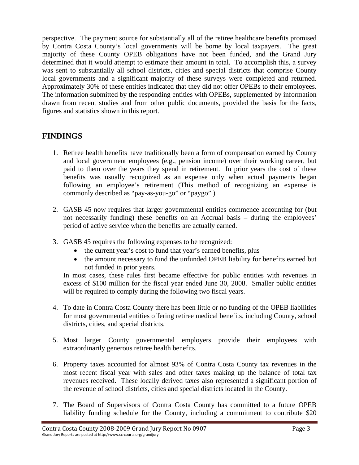perspective. The payment source for substantially all of the retiree healthcare benefits promised by Contra Costa County's local governments will be borne by local taxpayers. The great majority of these County OPEB obligations have not been funded, and the Grand Jury determined that it would attempt to estimate their amount in total. To accomplish this, a survey was sent to substantially all school districts, cities and special districts that comprise County local governments and a significant majority of these surveys were completed and returned. Approximately 30% of these entities indicated that they did not offer OPEBs to their employees. The information submitted by the responding entities with OPEBs, supplemented by information drawn from recent studies and from other public documents, provided the basis for the facts, figures and statistics shown in this report.

## **FINDINGS**

- 1. Retiree health benefits have traditionally been a form of compensation earned by County and local government employees (e.g., pension income) over their working career, but paid to them over the years they spend in retirement. In prior years the cost of these benefits was usually recognized as an expense only when actual payments began following an employee's retirement (This method of recognizing an expense is commonly described as "pay-as-you-go" or "paygo".)
- 2. GASB 45 now requires that larger governmental entities commence accounting for (but not necessarily funding) these benefits on an Accrual basis – during the employees' period of active service when the benefits are actually earned.
- 3. GASB 45 requires the following expenses to be recognized:
	- the current year's cost to fund that year's earned benefits, plus
	- the amount necessary to fund the unfunded OPEB liability for benefits earned but not funded in prior years.

In most cases, these rules first became effective for public entities with revenues in excess of \$100 million for the fiscal year ended June 30, 2008. Smaller public entities will be required to comply during the following two fiscal years.

- 4. To date in Contra Costa County there has been little or no funding of the OPEB liabilities for most governmental entities offering retiree medical benefits, including County, school districts, cities, and special districts.
- 5. Most larger County governmental employers provide their employees with extraordinarily generous retiree health benefits.
- 6. Property taxes accounted for almost 93% of Contra Costa County tax revenues in the most recent fiscal year with sales and other taxes making up the balance of total tax revenues received. These locally derived taxes also represented a significant portion of the revenue of school districts, cities and special districts located in the County.
- 7. The Board of Supervisors of Contra Costa County has committed to a future OPEB liability funding schedule for the County, including a commitment to contribute \$20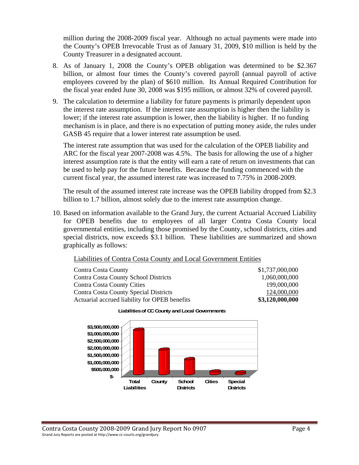million during the 2008-2009 fiscal year. Although no actual payments were made into the County's OPEB Irrevocable Trust as of January 31, 2009, \$10 million is held by the County Treasurer in a designated account.

- 8. As of January 1, 2008 the County's OPEB obligation was determined to be \$2.367 billion, or almost four times the County's covered payroll (annual payroll of active employees covered by the plan) of \$610 million. Its Annual Required Contribution for the fiscal year ended June 30, 2008 was \$195 million, or almost 32% of covered payroll.
- 9. The calculation to determine a liability for future payments is primarily dependent upon the interest rate assumption. If the interest rate assumption is higher then the liability is lower; if the interest rate assumption is lower, then the liability is higher. If no funding mechanism is in place, and there is no expectation of putting money aside, the rules under GASB 45 require that a lower interest rate assumption be used.

The interest rate assumption that was used for the calculation of the OPEB liability and ARC for the fiscal year 2007-2008 was 4.5%. The basis for allowing the use of a higher interest assumption rate is that the entity will earn a rate of return on investments that can be used to help pay for the future benefits. Because the funding commenced with the current fiscal year, the assumed interest rate was increased to 7.75% in 2008-2009.

The result of the assumed interest rate increase was the OPEB liability dropped from \$2.3 billion to 1.7 billion, almost solely due to the interest rate assumption change.

10. Based on information available to the Grand Jury, the current Actuarial Accrued Liability for OPEB benefits due to employees of all larger Contra Costa County local governmental entities, including those promised by the County, school districts, cities and special districts, now exceeds \$3.1 billion. These liabilities are summarized and shown graphically as follows:

### Liabilities of Contra Costa County and Local Government Entities

| Contra Costa County                           | \$1,737,000,000 |
|-----------------------------------------------|-----------------|
| <b>Contra Costa County School Districts</b>   | 1,060,000,000   |
| Contra Costa County Cities                    | 199,000,000     |
| Contra Costa County Special Districts         | 124,000,000     |
| Actuarial accrued liability for OPEB benefits | \$3,120,000,000 |



#### **Liabilities of CC County and Local Governments**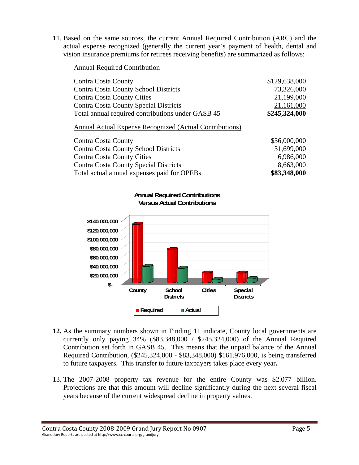11. Based on the same sources, the current Annual Required Contribution (ARC) and the actual expense recognized (generally the current year's payment of health, dental and vision insurance premiums for retirees receiving benefits) are summarized as follows:

#### Annual Required Contribution

| Contra Costa County                               | \$129,638,000 |
|---------------------------------------------------|---------------|
| Contra Costa County School Districts              | 73,326,000    |
| <b>Contra Costa County Cities</b>                 | 21,199,000    |
| <b>Contra Costa County Special Districts</b>      | 21,161,000    |
| Total annual required contributions under GASB 45 | \$245,324,000 |

#### Annual Actual Expense Recognized (Actual Contributions)

| Contra Costa County                         | \$36,000,000 |
|---------------------------------------------|--------------|
| Contra Costa County School Districts        | 31,699,000   |
| <b>Contra Costa County Cities</b>           | 6,986,000    |
| Contra Costa County Special Districts       | 8,663,000    |
| Total actual annual expenses paid for OPEBs | \$83,348,000 |



- **12.** As the summary numbers shown in Finding 11 indicate, County local governments are currently only paying 34% (\$83,348,000 / \$245,324,000) of the Annual Required Contribution set forth in GASB 45. This means that the unpaid balance of the Annual Required Contribution, (\$245,324,000 - \$83,348,000) \$161,976,000, is being transferred to future taxpayers. This transfer to future taxpayers takes place every year**.**
- 13. The 2007-2008 property tax revenue for the entire County was \$2.077 billion. Projections are that this amount will decline significantly during the next several fiscal years because of the current widespread decline in property values.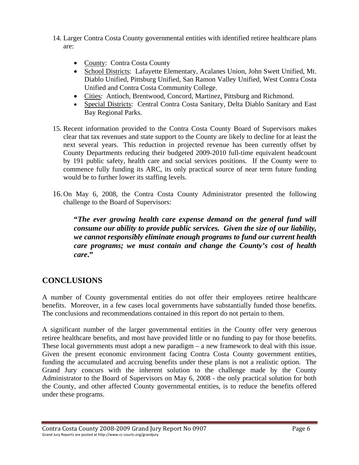- 14. Larger Contra Costa County governmental entities with identified retiree healthcare plans are:
	- County: Contra Costa County
	- School Districts: Lafayette Elementary, Acalanes Union, John Swett Unified, Mt. Diablo Unified, Pittsburg Unified, San Ramon Valley Unified, West Contra Costa Unified and Contra Costa Community College.
	- Cities: Antioch, Brentwood, Concord, Martinez, Pittsburg and Richmond.
	- Special Districts: Central Contra Costa Sanitary, Delta Diablo Sanitary and East Bay Regional Parks.
- 15. Recent information provided to the Contra Costa County Board of Supervisors makes clear that tax revenues and state support to the County are likely to decline for at least the next several years. This reduction in projected revenue has been currently offset by County Departments reducing their budgeted 2009-2010 full-time equivalent headcount by 191 public safety, health care and social services positions. If the County were to commence fully funding its ARC, its only practical source of near term future funding would be to further lower its staffing levels.
- 16.On May 6, 2008, the Contra Costa County Administrator presented the following challenge to the Board of Supervisors:

**"***The ever growing health care expense demand on the general fund will consume our ability to provide public services. Given the size of our liability, we cannot responsibly eliminate enough programs to fund our current health care programs; we must contain and change the County's cost of health care***."** 

## **CONCLUSIONS**

A number of County governmental entities do not offer their employees retiree healthcare benefits. Moreover, in a few cases local governments have substantially funded those benefits. The conclusions and recommendations contained in this report do not pertain to them.

A significant number of the larger governmental entities in the County offer very generous retiree healthcare benefits, and most have provided little or no funding to pay for those benefits. These local governments must adopt a new paradigm – a new framework to deal with this issue. Given the present economic environment facing Contra Costa County government entities, funding the accumulated and accruing benefits under these plans is not a realistic option. The Grand Jury concurs with the inherent solution to the challenge made by the County Administrator to the Board of Supervisors on May 6, 2008 - the only practical solution for both the County, and other affected County governmental entities, is to reduce the benefits offered under these programs.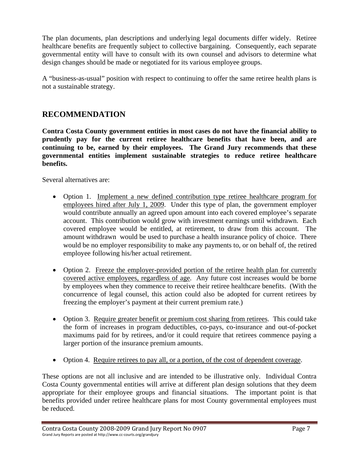The plan documents, plan descriptions and underlying legal documents differ widely. Retiree healthcare benefits are frequently subject to collective bargaining. Consequently, each separate governmental entity will have to consult with its own counsel and advisors to determine what design changes should be made or negotiated for its various employee groups.

A "business-as-usual" position with respect to continuing to offer the same retiree health plans is not a sustainable strategy.

### **RECOMMENDATION**

**Contra Costa County government entities in most cases do not have the financial ability to prudently pay for the current retiree healthcare benefits that have been, and are continuing to be, earned by their employees. The Grand Jury recommends that these governmental entities implement sustainable strategies to reduce retiree healthcare benefits.** 

Several alternatives are:

- Option 1. Implement a new defined contribution type retiree healthcare program for employees hired after July 1, 2009. Under this type of plan, the government employer would contribute annually an agreed upon amount into each covered employee's separate account. This contribution would grow with investment earnings until withdrawn. Each covered employee would be entitled, at retirement, to draw from this account. The amount withdrawn would be used to purchase a health insurance policy of choice. There would be no employer responsibility to make any payments to, or on behalf of, the retired employee following his/her actual retirement.
- Option 2. Freeze the employer-provided portion of the retiree health plan for currently covered active employees, regardless of age. Any future cost increases would be borne by employees when they commence to receive their retiree healthcare benefits. (With the concurrence of legal counsel, this action could also be adopted for current retirees by freezing the employer's payment at their current premium rate.)
- Option 3. Require greater benefit or premium cost sharing from retirees. This could take the form of increases in program deductibles, co-pays, co-insurance and out-of-pocket maximums paid for by retirees, and/or it could require that retirees commence paying a larger portion of the insurance premium amounts.
- Option 4. Require retirees to pay all, or a portion, of the cost of dependent coverage.

These options are not all inclusive and are intended to be illustrative only. Individual Contra Costa County governmental entities will arrive at different plan design solutions that they deem appropriate for their employee groups and financial situations. The important point is that benefits provided under retiree healthcare plans for most County governmental employees must be reduced.